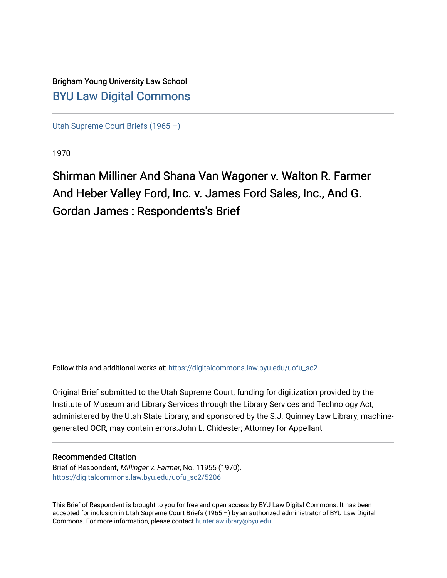# Brigham Young University Law School [BYU Law Digital Commons](https://digitalcommons.law.byu.edu/)

[Utah Supreme Court Briefs \(1965 –\)](https://digitalcommons.law.byu.edu/uofu_sc2)

1970

Shirman Milliner And Shana Van Wagoner v. Walton R. Farmer And Heber Valley Ford, Inc. v. James Ford Sales, Inc., And G. Gordan James : Respondents's Brief

Follow this and additional works at: [https://digitalcommons.law.byu.edu/uofu\\_sc2](https://digitalcommons.law.byu.edu/uofu_sc2?utm_source=digitalcommons.law.byu.edu%2Fuofu_sc2%2F5206&utm_medium=PDF&utm_campaign=PDFCoverPages)

Original Brief submitted to the Utah Supreme Court; funding for digitization provided by the Institute of Museum and Library Services through the Library Services and Technology Act, administered by the Utah State Library, and sponsored by the S.J. Quinney Law Library; machinegenerated OCR, may contain errors.John L. Chidester; Attorney for Appellant

# Recommended Citation

Brief of Respondent, Millinger v. Farmer, No. 11955 (1970). [https://digitalcommons.law.byu.edu/uofu\\_sc2/5206](https://digitalcommons.law.byu.edu/uofu_sc2/5206?utm_source=digitalcommons.law.byu.edu%2Fuofu_sc2%2F5206&utm_medium=PDF&utm_campaign=PDFCoverPages) 

This Brief of Respondent is brought to you for free and open access by BYU Law Digital Commons. It has been accepted for inclusion in Utah Supreme Court Briefs (1965 –) by an authorized administrator of BYU Law Digital Commons. For more information, please contact [hunterlawlibrary@byu.edu](mailto:hunterlawlibrary@byu.edu).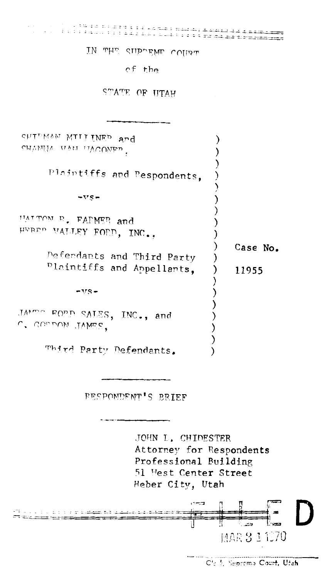| ಸಿ ಎಂದು ಹಿಂದಿ<br>a dida dalam dida biba                                         | ೦೦೦೦೦೦೦೦ |          |
|---------------------------------------------------------------------------------|----------|----------|
| سفائاب عام مختلف مطلب LN سال                                                    |          |          |
| of the                                                                          |          |          |
| STATE OF UTAH                                                                   |          |          |
|                                                                                 |          |          |
| Antuited Theo and                                                               |          |          |
| CHUMIV AVIL INCOMED.                                                            |          |          |
| Plaintiffs and Pespondents,                                                     |          |          |
| $-vs-$                                                                          |          |          |
| <b>FAPMER</b> and                                                               |          |          |
| HURED VALLEY FORD, INC.,                                                        |          |          |
| Defendants and Third Party                                                      |          | Case No. |
| Plaintiffs and Appellants,                                                      |          | 11955    |
| $-vs-$                                                                          |          |          |
| $\texttt{JAmm} \cap \texttt{FOp}$ $\texttt{SALES}, \texttt{INC.}, \texttt{and}$ |          |          |
| $\mathsf{C}^\bullet$ doplon tymes,                                              |          |          |
| Third Party Defendants.                                                         |          |          |

**RESPONDENT'S BRIEF** 

JOHN L. CHIDESTER Attorney for Respondents Professional Building 51 West Center Street Heber City, Utah



C'est, Supremo Court, Utah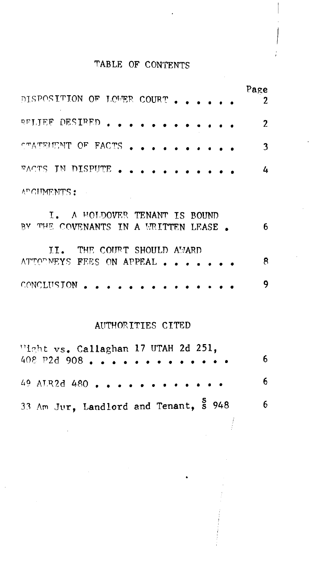# TABLE OF CONTENTS

| RELIEF DESIRED                              | 2 |
|---------------------------------------------|---|
|                                             |   |
| CTATEMENT OF FACTS                          | 3 |
| FACTS IN DISPUTE                            | 4 |
| APCHMENTS:                                  |   |
| I. A HOLDOVER TENANT IS BOUND               |   |
| BY THE COVENANTS IN A WRITTEN LEASE.        | 6 |
| II. THE COURT SHOULD AWARD                  |   |
| ATTOPMEYS FEES ON APPEAL                    | 8 |
| CONCLUSION                                  | 9 |
|                                             |   |
| AUTHORITIES CITED                           |   |
| Wight vs. Callaghan 17 UTAH 2d 251,         |   |
| $408$ P2d 908 $\bullet$ $\bullet$ $\bullet$ | 6 |
| 49 ALR2d 480                                | 6 |
| 33 Am Jur, Landlord and Tenant, \$ 948      | 6 |

 $\mathbf{r}$ 

 $\frac{1}{2}$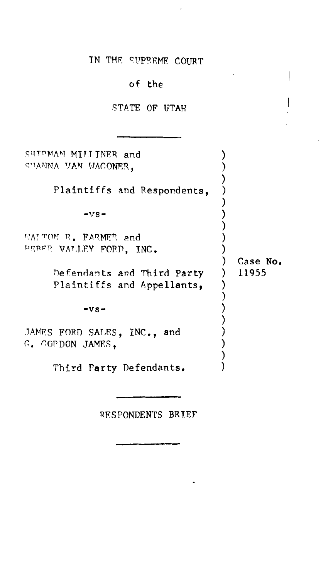IN THE SUPREME COURT

 $\cdot$ 

# of the

# STATE OF UTAH

| SHIPMAN MILIJNER and        |          |
|-----------------------------|----------|
| SUANNA VAN UAGONER,         |          |
|                             |          |
| Plaintiffs and Respondents, |          |
|                             |          |
| -vs-                        |          |
|                             |          |
| WAITOM R. FARMER and        |          |
| HERER VALLEY FORD, INC.     |          |
|                             | Case No. |
| Defendants and Third Party  | 11955    |
| Plaintiffs and Appellants,  |          |
|                             |          |
|                             |          |
| $-vs-$                      |          |
|                             |          |
| JAMES FORD SALES, INC., and |          |
| G. GOPDON JAMES,            |          |
|                             |          |
| Third Party Defendants.     |          |
|                             |          |
|                             |          |

RESPONDENTS BRIEF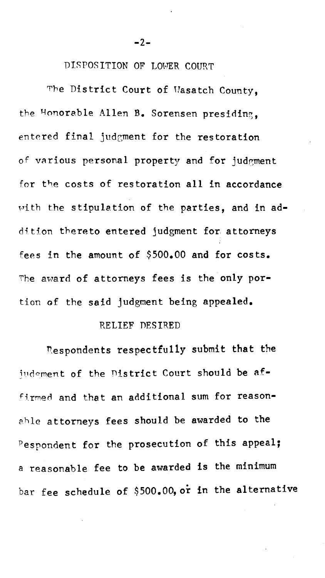## DISPOSITION OF LOWER COURT

The District Court of Wasatch County. the Honorable Allen B. Sorensen presiding. entered final judzment for the restoration of various personal property and for judgment for the costs of restoration all in accordance with the stipulation of the parties, and in addition thereto entered judgment for attorneys fees in the amount of \$500.00 and for costs. The award of attorneys fees is the only portion of the said judgment being appealed.

#### RELIEF DESIRED

Respondents respectfully submit that the judement of the District Court should be affirmed and that an additional sum for reasonable attorneys fees should be awarded to the Pespondent for the prosecution of this appeal; a reasonable fee to be awarded is the minimum bar fee schedule of \$500.00, or in the alternative

-2-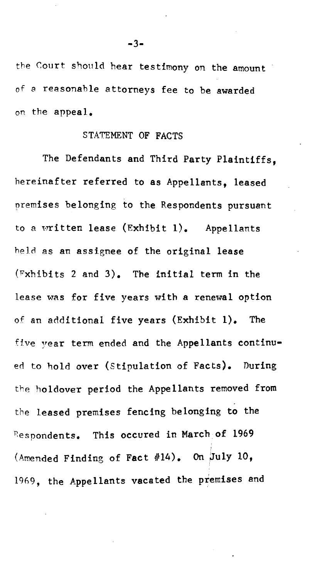the Court should hear testimony on the amount of a reasonable attorneys fee to be awarded on the appeal.

### STATEMENT OF FACTS

The Defendants and Third Party Plaintiffs. hereinafter referred to as Appellants, leased premises belonging to the Respondents pursuant to a written lease (Exhibit 1). Appellants held as an assignee of the original lease (Fxhibits 2 and 3). The initial term in the lease was for five years with a renewal option of an additional five years (Exhibit 1). The five year term ended and the Appellants continued to hold over (Stipulation of Facts). During the holdover period the Appellants removed from the leased premises fencing belonging to the Respondents. This occured in March of 1969 (Amended Finding of Fact  $#14$ ). On July 10, 1969, the Appellants vacated the premises and

 $-3-$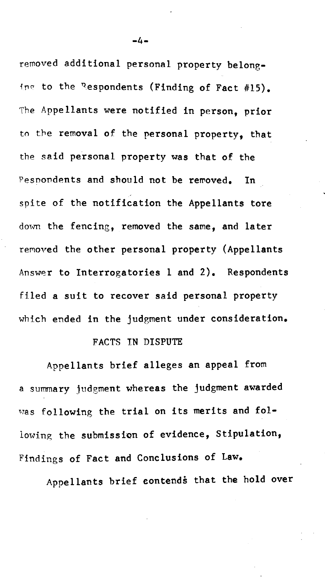removed additional personal property belonging to the Respondents (Finding of Fact #15). The Appellants were notified in person, prior to the removal of the personal property, that the said personal property was that of the Pespondents and should not be removed. In spite of the notification the Appellants tore down the fencing, removed the same, and later removed the other personal property (Appellants Answer to Interrogatories 1 and 2). Respondents filed a suit to recover said personal property which ended in the judgment under consideration.

## FACTS IN DISPUTE

Appellants brief alleges an appeal from a summary judgment whereas the judgment awarded was following the trial on its merits and following the submission of evidence, Stipulation, Findings of Fact and Conclusions of Law.

Appellants brief eontends that the hold over

-4-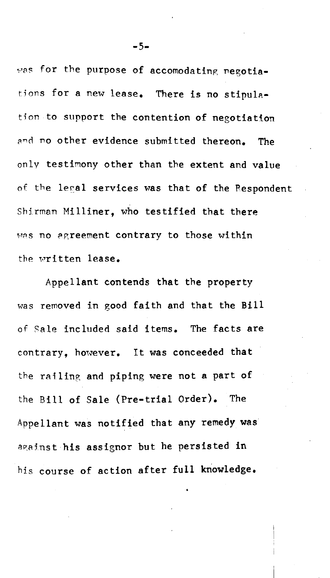was for the purpose of accomodating negotiations for a new lease. There is no stipulation to support the contention of negotiation and no other evidence submitted thereon. The only testimony other than the extent and value of the legal services was that of the Respondent Shirman Milliner, who testified that there was no agreement contrary to those within the vritten lease.

Appellant contends that the property was removed in good faith and that the Bill of Sale included said items. The facts are contrary, however. It was conceeded that the railing and piping were not a part of the Bill of Sale (Pre-trial Order). The Appellant was notified that any remedy was against his assignor but he persisted in his course of action after full knowledge.

-5-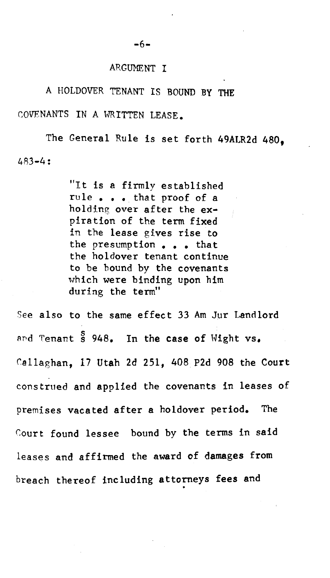#### ARGUMENT I

A HOLDOVER TENANT IS BOUND BY THE

COVENANTS IN A WRITTEN LEASE.

The General Rule is set forth 49ALR2d 480, 483-4:

> "It is a firmly established rule ••• that proof of a holding over after the expiration of the term fixed in the lease gives rise to the presumption . . . that the holdover tenant continue to be bound by the covenants which were binding upon him during the term"

See also to the same effect 33 Am Jur Landlord and Tenant  $\frac{s}{s}$  948. In the case of Wight vs. Callaghan, 17 Utah 2d 251, 408 P2d 908 the Court cons trued and applied the covenants in leases of premises vacated after a holdover period. The Court found lessee bound by the terms in said leases and affirmed the award of damages from breach thereof including attorneys fees and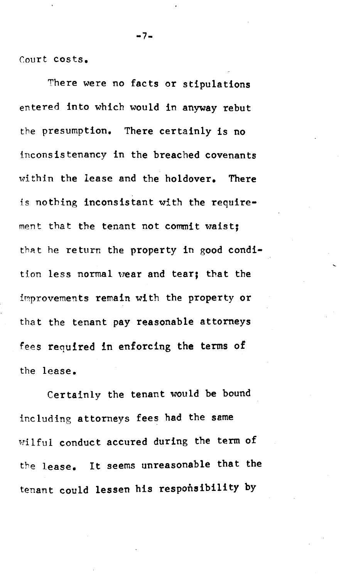Court costs.

There were no facts or stipulations entered into which would in anyway rebut the presumption. There certainly is no inconsistenancy in the breached covenants within the lease and the holdover. There is nothing inconsistant with the requirement that the tenant not commit waist; that he return the property in good condition less normal wear and tear; that the improvements remain with the property or that the tenant pay reasonable attorneys tees required in enforcing the terms of the lease.

Certainly the tenant would be bound including attorneys fees had the same wi 1fu1 conduct accured during the term of the lease. It seems unreasonable that the tenant could lessen his responsibility by

-7-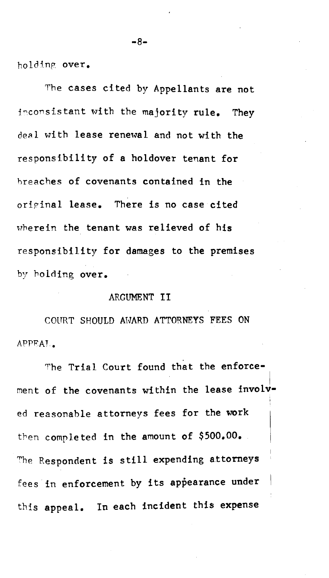holding over.

The cases cited by Appellants are not fnconsistant with the majority rule. They deal with lease renewal and not with the responsibility of a holdover tenant for hreaches of covenants contained in the oririnal lease. There is no case cited wherein the tenant was relieved of his responsibility for damages to the premises by holding over.

### ARGUMENT II

COURT SHOULD AWARD ATTORNEYS FEES ON APPFAT.

The Trial Court found that the enforce ment of the covenants within the lease involved reasonable attorneys fees for the work then completed in the amount of \$500.00. The Respondent is still expending attorneys fees in enforcement by its appearance under this appeal. In each incident this expense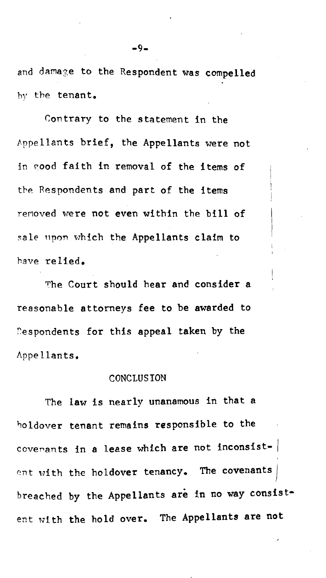and damage to the Respondent was compelled hy the tenant.

Contrary to the statement in the Appellants brief, the Appellants were not in good faith in removal of the items of the Respondents and part of the items removed were not even within the bill of sale upon which the Appellants claim to have relied.

The Court should hear and consider a reasonable attorneys fee to be awarded to Respondents for this appeal taken by the Appellants.

#### **CONCLUSION**

The law is nearly unanamous in that a holdover tenant remains responsible to the coverants in a lease which are not inconsistent with the holdover tenancy. The covenants breached by the Appellants are in no way consistent with the hold over. The Appellants are not

-9-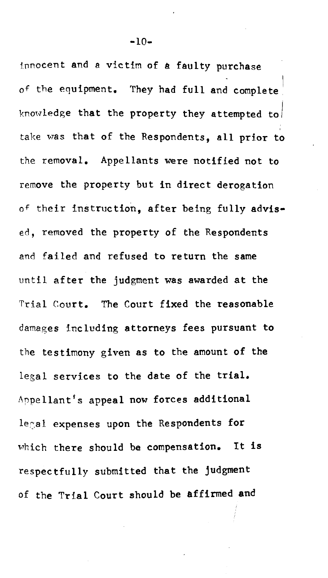innocent and a victim of a faulty purchase of the equipment. They had full and complete knowledge that the property they attempted to/ take was that of the Respondents, all prior to the removal. Appellants were notified not to remove the property but in direct derogation of their instruction, after being fully advis• ed, removed the property of the Respondents and failed and refused to return the same until after the judgment was awarded at the Trial Court. The Court fixed the reasonable damages including attorneys fees pursuant to the testimony given as to the amount of the legal services to the date of the trial. Appellant's appeal now forces additional legal expenses upon the Respondents for which there should be compensation. It is respectfully submitted that the judgment of the Trial Court should be affirmed and